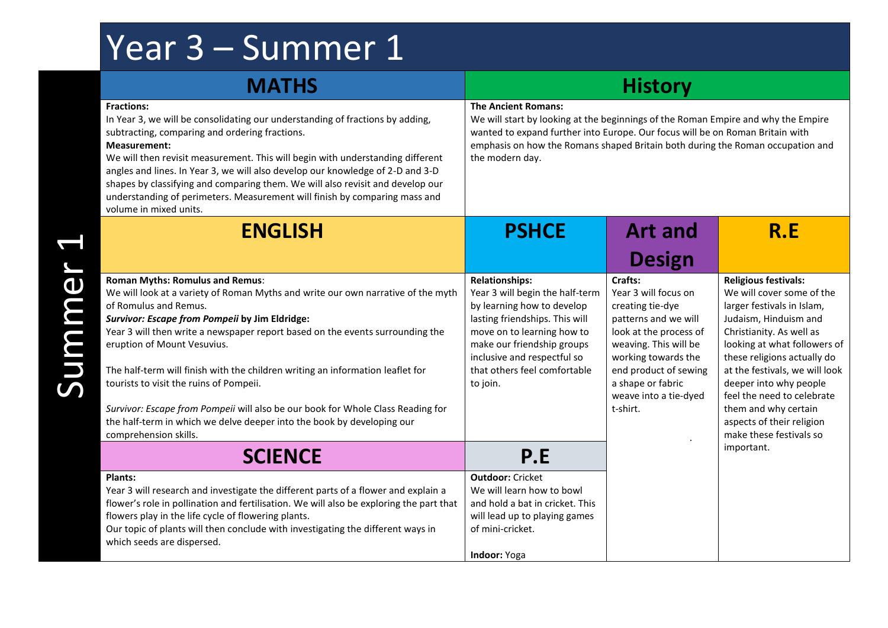## Year 3 – Summer 1

| <b>MATHS</b>                                                                                                                                                                                                                                                                                                                                                                                                                                                                                                                                                                                                                             | <b>History</b>                                                                                                                                                                                                                                                  |                                                                                                                                                                                                                                                      |                                                                                                                                                                                                                                                                                                                                                                                                    |  |
|------------------------------------------------------------------------------------------------------------------------------------------------------------------------------------------------------------------------------------------------------------------------------------------------------------------------------------------------------------------------------------------------------------------------------------------------------------------------------------------------------------------------------------------------------------------------------------------------------------------------------------------|-----------------------------------------------------------------------------------------------------------------------------------------------------------------------------------------------------------------------------------------------------------------|------------------------------------------------------------------------------------------------------------------------------------------------------------------------------------------------------------------------------------------------------|----------------------------------------------------------------------------------------------------------------------------------------------------------------------------------------------------------------------------------------------------------------------------------------------------------------------------------------------------------------------------------------------------|--|
| <b>Fractions:</b><br>In Year 3, we will be consolidating our understanding of fractions by adding,<br>subtracting, comparing and ordering fractions.<br>Measurement:<br>We will then revisit measurement. This will begin with understanding different<br>angles and lines. In Year 3, we will also develop our knowledge of 2-D and 3-D<br>shapes by classifying and comparing them. We will also revisit and develop our<br>understanding of perimeters. Measurement will finish by comparing mass and<br>volume in mixed units.                                                                                                       | <b>The Ancient Romans:</b><br>the modern day.                                                                                                                                                                                                                   | We will start by looking at the beginnings of the Roman Empire and why the Empire<br>wanted to expand further into Europe. Our focus will be on Roman Britain with<br>emphasis on how the Romans shaped Britain both during the Roman occupation and |                                                                                                                                                                                                                                                                                                                                                                                                    |  |
| <b>ENGLISH</b>                                                                                                                                                                                                                                                                                                                                                                                                                                                                                                                                                                                                                           | <b>PSHCE</b>                                                                                                                                                                                                                                                    | <b>Art and</b>                                                                                                                                                                                                                                       | R.E                                                                                                                                                                                                                                                                                                                                                                                                |  |
|                                                                                                                                                                                                                                                                                                                                                                                                                                                                                                                                                                                                                                          |                                                                                                                                                                                                                                                                 | <b>Design</b>                                                                                                                                                                                                                                        |                                                                                                                                                                                                                                                                                                                                                                                                    |  |
| <b>Roman Myths: Romulus and Remus:</b><br>We will look at a variety of Roman Myths and write our own narrative of the myth<br>of Romulus and Remus.<br>Survivor: Escape from Pompeii by Jim Eldridge:<br>Year 3 will then write a newspaper report based on the events surrounding the<br>eruption of Mount Vesuvius.<br>The half-term will finish with the children writing an information leaflet for<br>tourists to visit the ruins of Pompeii.<br>Survivor: Escape from Pompeii will also be our book for Whole Class Reading for<br>the half-term in which we delve deeper into the book by developing our<br>comprehension skills. | <b>Relationships:</b><br>Year 3 will begin the half-term<br>by learning how to develop<br>lasting friendships. This will<br>move on to learning how to<br>make our friendship groups<br>inclusive and respectful so<br>that others feel comfortable<br>to join. | Crafts:<br>Year 3 will focus on<br>creating tie-dye<br>patterns and we will<br>look at the process of<br>weaving. This will be<br>working towards the<br>end product of sewing<br>a shape or fabric<br>weave into a tie-dyed<br>t-shirt.             | <b>Religious festivals:</b><br>We will cover some of the<br>larger festivals in Islam,<br>Judaism, Hinduism and<br>Christianity. As well as<br>looking at what followers of<br>these religions actually do<br>at the festivals, we will look<br>deeper into why people<br>feel the need to celebrate<br>them and why certain<br>aspects of their religion<br>make these festivals so<br>important. |  |
| <b>SCIENCE</b>                                                                                                                                                                                                                                                                                                                                                                                                                                                                                                                                                                                                                           | P.E                                                                                                                                                                                                                                                             |                                                                                                                                                                                                                                                      |                                                                                                                                                                                                                                                                                                                                                                                                    |  |
| Plants:<br>Year 3 will research and investigate the different parts of a flower and explain a<br>flower's role in pollination and fertilisation. We will also be exploring the part that<br>flowers play in the life cycle of flowering plants.<br>Our topic of plants will then conclude with investigating the different ways in<br>which seeds are dispersed.                                                                                                                                                                                                                                                                         | <b>Outdoor: Cricket</b><br>We will learn how to bowl<br>and hold a bat in cricket. This<br>will lead up to playing games<br>of mini-cricket.<br><b>Indoor: Yoga</b>                                                                                             |                                                                                                                                                                                                                                                      |                                                                                                                                                                                                                                                                                                                                                                                                    |  |